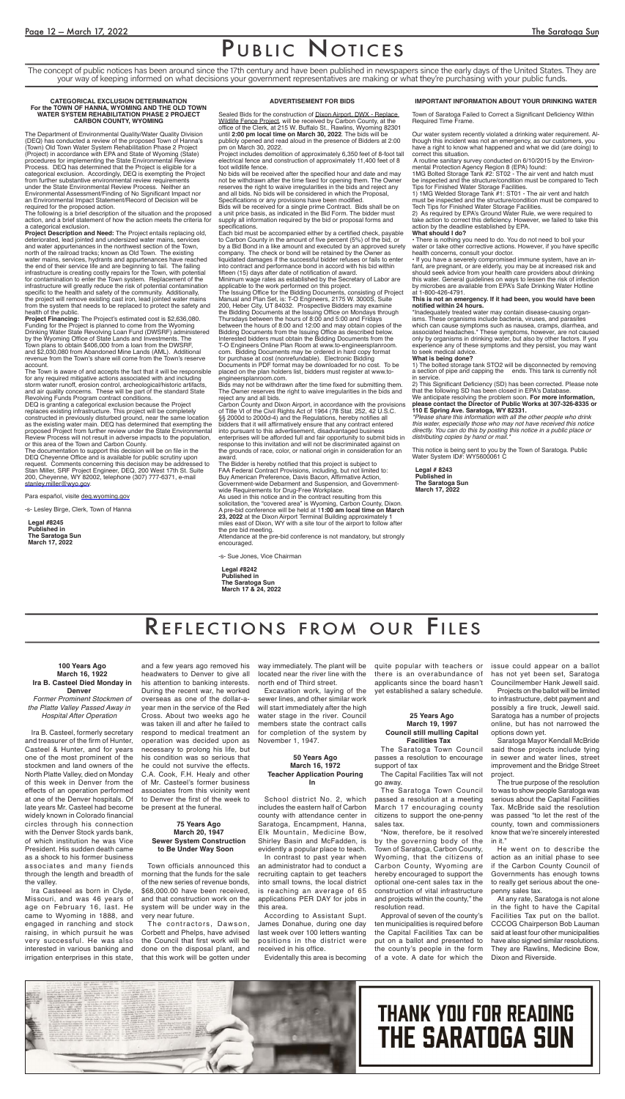### PUBLIC NOTICES

#### **ADVERTISEMENT FOR BIDS**

Sealed Bids for the construction of Dixon Airport, DWX - Replace Wildlife Fence Project, will be received by Carbon County, at the office of the Clerk, at 215 W. Buffalo St., Rawlins, Wyoming 82301 until **2:00 pm local time on March 30, 2022**. The bids will be publicly opened and read aloud in the presence of Bidders at 2:00

pm on March 30, 2022. Project includes demolition of approximately 6,350 feet of 8-foot tall electrical fence and construction of approximately 11,400 feet of 8 foot wildlife fence.

No bids will be received after the specified hour and date and may not be withdrawn after the time fixed for opening them. The Owner reserves the right to waive irregularities in the bids and reject any and all bids. No bids will be considered in which the Proposal, Specifications or any provisions have been modified.

Bids will be received for a single prime Contract. Bids shall be on a unit price basis, as indicated in the Bid Form. The bidder must supply all information required by the bid or proposal forms and specifications.

Each bid must be accompanied either by a certified check, payable to Carbon County in the amount of five percent (5%) of the bid, or by a Bid Bond in a like amount and executed by an approved surety company. The check or bond will be retained by the Owner as liquidated damages if the successful bidder refuses or fails to enter into contract and performance bond in accord with his bid within fifteen (15) days after date of notification of award. Minimum wage rates as established by the Secretary of Labor are

applicable to the work performed on this project. The Issuing Office for the Bidding Documents, consisting of Project

Manual and Plan Set, is: T-O Engineers, 2175 W. 3000S, Suite 200, Heber City, UT 84032. Prospective Bidders may examine the Bidding Documents at the Issuing Office on Mondays through Thursdays between the hours of 8:00 and 5:00 and Fridays between the hours of 8:00 and 12:00 and may obtain copies of the Bidding Documents from the Issuing Office as described below. Interested bidders must obtain the Bidding Documents from the T-O Engineers Online Plan Room at www.to-engineersplanroom. com. Bidding Documents may be ordered in hard copy format for purchase at cost (nonrefundable). Electronic Bidding Documents in PDF format may be downloaded for no cost. To be placed on the plan holders list, bidders must register at www.toengineersplanroom.com.

Bids may not be withdrawn after the time fixed for submitting them. The Owner reserves the right to waive irregularities in the bids and reject any and all bids.

Carbon County and Dixon Airport, in accordance with the provisions of Title VI of the Civil Rights Act of 1964 (78 Stat. 252, 42 U.S.C. §§ 2000d to 2000d-4) and the Regulations, hereby notifies all bidders that it will affirmatively ensure that any contract entered into pursuant to this advertisement, disadvantaged business enterprises will be afforded full and fair opportunity to submit bids in response to this invitation and will not be discriminated against on the grounds of race, color, or national origin in consideration for an award.

The Bidder is hereby notified that this project is subject to FAA Federal Contract Provisions, including, but not limited to: Buy American Preference, Davis Bacon, Affirmative Action, Government-wide Debarment and Suspension, and Governmentwide Requirements for Drug-Free Workplace.

As used in this notice and in the contract resulting from this solicitation, the "covered area" is Wyoming, Carbon County, Dixon. A pre-bid conference will be held at 1**1:00 am local time on March 23, 2022** at the Dixon Airport Terminal Building approximately 1 miles east of Dixon, WY with a site tour of the airport to follow after the pre bid meeting.

Attendance at the pre-bid conference is not mandatory, but strongly encouraged.

-s- Sue Jones, Vice Chairman

**Legal #8242 Published in The Saratoga Sun March 17 & 24, 2022**

#### **IMPORTANT INFORMATION ABOUT YOUR DRINKING WATER**

Town of Saratoga Failed to Correct a Significant Deficiency Within Required Time Frame.

Our water system recently violated a drinking water requirement. Although this incident was not an emergency, as our customers, you have a right to know what happened and what we did (are doing) to correct this situation.

 A routine sanitary survey conducted on 6/10/2015 by the Environmental Protection Agency Region 8 (EPA) found:

1MG Bolted Storage Tank #2: ST02 - The air vent and hatch must be inspected and the structure/condition must be compared to Tech Tips for Finished Water Storage Facilities.

1) 1MG Welded Storage Tank #1: ST01 - The air vent and hatch must be inspected and the structure/condition must be compared to Tech Tips for Finished Water Storage Facilities.

2) As required by EPA's Ground Water Rule, we were required to take action to correct this deficiency. However, we failed to take this action by the deadline established by EPA.

The documentation to support this decision will be on file in the DEQ Cheyenne Office and is available for public scrutiny upon request. Comments concerning this decision may be addressed to Stan Miller, SRF Project Engineer, DEQ, 200 West 17th St. Suite 200, Cheyenne, WY 82002, telephone (307) 777-6371, e-mail stanley.miller@wyo.gov.

Para español, visite deq.wyoming.gov

#### **What should I do?**

• There is nothing you need to do. You do not need to boil your water or take other corrective actions. However, if you have specific health concerns, consult your doctor.

• If you have a severely compromised immune system, have an infant, are pregnant, or are elderly, you may be at increased risk and should seek advice from your health care providers about drinking this water. General guidelines on ways to lessen the risk of infection by microbes are available from EPA's Safe Drinking Water Hotline at 1-800-426-4791.

#### **This is not an emergency. If it had been, you would have been notified within 24 hours.**

\*Inadequately treated water may contain disease-causing organisms. These organisms include bacteria, viruses, and parasites which can cause symptoms such as nausea, cramps, diarrhea, and associated headaches.\* These symptoms, however, are not caused only by organisms in drinking water, but also by other factors. If you experience any of these symptoms and they persist, you may want to seek medical advice.

#### **What is being done?**

1) The bolted storage tank STO2 will be disconnected by removing a section of pipe and capping the ends. This tank is currently not in service.

2) This Significant Deficiency (SD) has been corrected. Please note that the following SD has been closed in EPA's Database. We anticipate resolving the problem soon. **For more information,** 

**please contact the Director of Public Works at 307-326-8335 or 110 E Spring Ave. Saratoga, WY 82331.**

*\*Please share this information with all the other people who drink this water, especially those who may not have received this notice directly. You can do this by posting this notice in a public place or distributing copies by hand or mail.\** 

This notice is being sent to you by the Town of Saratoga. Public Water System ID#: WY5600061 C

**Legal # 8243 Published in The Saratoga Sun March 17, 2022**

### REFLECTIONS FROM OUR

#### **CATEGORICAL EXCLUSION DETERMINATION For the TOWN OF HANNA, WYOMING AND THE OLD TOWN WATER SYSTEM REHABILITATION PHASE 2 PROJECT CARBON COUNTY, WYOMING**

The Department of Environmental Quality/Water Quality Division (DEQ) has conducted a review of the proposed Town of Hanna's (Town) Old Town Water System Rehabilitation Phase 2 Project (Project) in accordance with EPA and State of Wyoming (State) procedures for implementing the State Environmental Review Process. DEQ has determined that the Project is eligible for a categorical exclusion. Accordingly, DEQ is exempting the Project from further substantive environmental review requirements under the State Environmental Review Process. Neither an Environmental Assessment/Finding of No Significant Impact nor an Environmental Impact Statement/Record of Decision will be required for the proposed action.

The following is a brief description of the situation and the proposed action, and a brief statement of how the action meets the criteria for a categorical exclusion.

**Project Description and Need:** The Project entails replacing old, deteriorated, lead jointed and undersized water mains, services and water appurtenances in the northwest section of the Town, north of the railroad tracks; known as Old Town. The existing water mains, services, hydrants and appurtenances have reached the end of their service life and are beginning to fail. The failing infrastructure is creating costly repairs for the Town, with potential for contamination to enter the Town system. Replacement of the infrastructure will greatly reduce the risk of potential contamination specific to the health and safety of the community. Additionally, the project will remove existing cast iron, lead jointed water mains from the system that needs to be replaced to protect the safety and health of the public.

**Project Financing:** The Project's estimated cost is \$2,636,080. Funding for the Project is planned to come from the Wyoming Drinking Water State Revolving Loan Fund (DWSRF) administered by the Wyoming Office of State Lands and Investments. The Town plans to obtain \$406,000 from a loan from the DWSRF, and \$2,030,080 from Abandoned Mine Lands (AML). Additional revenue from the Town's share will come from the Town's reserve account.

The Town is aware of and accepts the fact that it will be responsible for any required mitigative actions associated with and including storm water runoff, erosion control, archeological/historic artifacts, and air quality concerns. These will be part of the standard State Revolving Funds Program contract conditions.

DEQ is granting a categorical exclusion because the Project replaces existing infrastructure. This project will be completely constructed in previously disturbed ground, near the same location as the existing water main. DEQ has determined that exempting the proposed Project from further review under the State Environmental Review Process will not result in adverse impacts to the population, or this area of the Town and Carbon County.

-s- Lesley Birge, Clerk, Town of Hanna

**Legal #8245 Published in The Saratoga Sun March 17, 2022**

The concept of public notices has been around since the 17th century and have been published in newspapers since the early days of the United States. They are your way of keeping informed on what decisions your government representatives are making or what they're purchasing with your public funds.

#### **100 Years Ago March 16, 1922 Ira B. Casteel Died Monday in Denver** *Former Prominent Stockmen of*

*the Platte Valley Passed Away in Hospital After Operation*

Ira B. Casteel, formerly secretary and treasurer of the firm of Hunter, Casteel & Hunter, and for years one of the most prominent of the stockmen and land owners of the North Platte Valley, died on Monday of this week in Denver from the effects of an operation performed at one of the Denver hospitals. Of late years Mr. Casteel had become widely known in Colorado financial circles through his connection with the Denver Stock yards bank, of which institution he was Vice President. His sudden death came as a shock to his former business associates and many fiends through the length and breadth of the valley.

Ira Casteeel as born in Clyde, Missouri, and was 46 years of age on February 16, last. He came to Wyoming in 1888, and engaged in ranching and stock raising, in which pursuit he was very successful. He was also interested in various banking and irrigation enterprises in this state,

and a few years ago removed his headwaters to Denver to give all his attention to banking interests. During the recent war, he worked overseas as one of the dollar-ayear men in the service of the Red Cross. About two weeks ago he was taken ill and after he failed to respond to medical treatment an operation was decided upon as necessary to prolong his life, but his condition was so serious that he could not survive the effects. C.A. Cook, F.H. Healy and other of Mr. Casteel's former business associates from this vicinity went to Denver the first of the week to be present at the funeral.

### **75 Years Ago March 20, 1947 Sewer System Construction to Be Under Way Soon**

Town officials announced this morning that the funds for the sale of the new series of revenue bonds, \$68,000.00 have been received, and that construction work on the system will be under way in the very near future.

The contractors, Dawson, Corbett and Phelps, have advised the Council that first work will be done on the disposal plant, and that this work will be gotten under

way immediately. The plant will be located near the river line with the north end of Third street.

Excavation work, laying of the sewer lines, and other similar work will start immediately after the high water stage in the river. Council members state the contract calls for completion of the system by November 1, 1947.

### **50 Years Ago March 16, 1972 Teacher Application Pouring In**

School district No. 2, which includes the eastern half of Carbon county with attendance center in Saratoga, Encampment, Hanna, Elk Mountain, Medicine Bow, Shirley Basin and McFadden, is evidently a popular place to teach. In contrast to past year when an administrator had to conduct a recruiting captain to get teachers into small towns, the local district is reaching an average of 65 applications PER DAY for jobs in

this area. According to Assistant Supt. James Donahue, during one day last week over 100 letters wanting positions in the district were received in his office.

Evidentally this area is becoming

quite popular with teachers or there is an overabundance of applicants since the board hasn't yet established a salary schedule.

#### **25 Years Ago March 19, 1997 Council still mulling Capital Facilities Tax**

The Saratoga Town Council passes a resolution to encourage support of tax

The Capital Facilities Tax will not go away.

The Saratoga Town Council passed a resolution at a meeting March 17 encouraging county citizens to support the one-penny sales tax.

"Now, therefore, be it resolved by the governing body of the Town of Saratoga, Carbon County, Wyoming, that the citizens of Carbon County, Wyoming are hereby encouraged to support the optional one-cent sales tax in the construction of vital infrastructure and projects within the county," the resolution read.

Approval of seven of the county's ten municipalities is required before the Capital Facilities Tax can be put on a ballot and presented to the county's people in the form of a vote. A date for which the

issue could appear on a ballot has not yet been set, Saratoga Councilmember Hank Jewell said.

Projects on the ballot will be limited to infrastructure, debt payment and possibly a fire truck, Jewell said. Saratoga has a number of projects online, but has not narrowed the options down yet.

Saratoga Mayor Kendall McBride said those projects include tying in sewer and water lines, street improvement and the Bridge Street project.

The true purpose of the resolution to was to show people Saratoga was serious about the Capital Facilities Tax. McBride said the resolution was passed "to let the rest of the county, town and commissioners know that we're sincerely interested in it."

He went on to describe the action as an initial phase to see if the Carbon County Council of Governments has enough towns to really get serious about the onepenny sales tax.

At any rate, Saratoga is not alone in the fight to have the Capital Facilities Tax put on the ballot. CCCOG Chairperson Bob Lauman said at least four other municipalities have also signed similar resolutions. They are Rawlins, Medicine Bow, Dixon and Riverside.



# **THANK YOU FOR READING THE SARATOGA SUN**